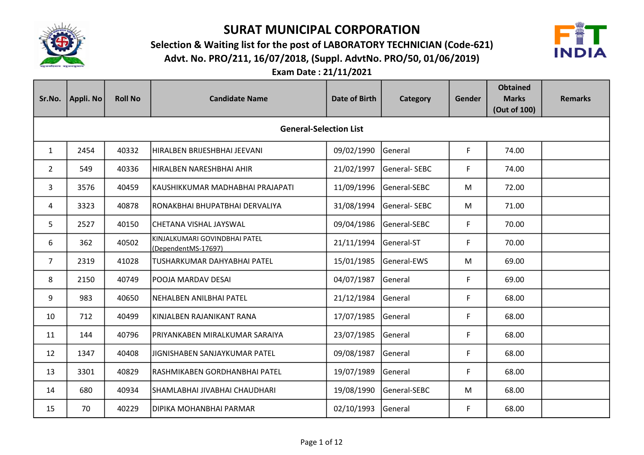

Advt. No. PRO/211, 16/07/2018, (Suppl. AdvtNo. PRO/50, 01/06/2019) Selection & Waiting list for the post of LABORATORY TECHNICIAN (Code-621)



| Sr.No.         | Appli. No                     | <b>Roll No</b> | <b>Candidate Name</b>                                | <b>Date of Birth</b> | Category     | <b>Gender</b> | <b>Obtained</b><br><b>Marks</b><br>(Out of 100) | <b>Remarks</b> |  |  |  |
|----------------|-------------------------------|----------------|------------------------------------------------------|----------------------|--------------|---------------|-------------------------------------------------|----------------|--|--|--|
|                | <b>General-Selection List</b> |                |                                                      |                      |              |               |                                                 |                |  |  |  |
| $\mathbf{1}$   | 2454                          | 40332          | HIRALBEN BRIJESHBHAI JEEVANI                         | 09/02/1990           | General      | F             | 74.00                                           |                |  |  |  |
| $\overline{2}$ | 549                           | 40336          | HIRALBEN NARESHBHAI AHIR                             | 21/02/1997           | General-SEBC | F             | 74.00                                           |                |  |  |  |
| 3              | 3576                          | 40459          | KAUSHIKKUMAR MADHABHAI PRAJAPATI                     | 11/09/1996           | General-SEBC | M             | 72.00                                           |                |  |  |  |
| 4              | 3323                          | 40878          | RONAKBHAI BHUPATBHAI DERVALIYA                       | 31/08/1994           | General-SEBC | M             | 71.00                                           |                |  |  |  |
| 5.             | 2527                          | 40150          | CHETANA VISHAL JAYSWAL                               | 09/04/1986           | General-SEBC | F             | 70.00                                           |                |  |  |  |
| 6              | 362                           | 40502          | KINJALKUMARI GOVINDBHAI PATEL<br>(DependentMS-17697) | 21/11/1994           | General-ST   | F             | 70.00                                           |                |  |  |  |
| $\overline{7}$ | 2319                          | 41028          | lTUSHARKUMAR DAHYABHAI PATEL                         | 15/01/1985           | General-EWS  | M             | 69.00                                           |                |  |  |  |
| 8              | 2150                          | 40749          | POOJA MARDAV DESAI                                   | 04/07/1987           | General      | F             | 69.00                                           |                |  |  |  |
| 9              | 983                           | 40650          | NEHALBEN ANILBHAI PATEL                              | 21/12/1984           | General      | F             | 68.00                                           |                |  |  |  |
| 10             | 712                           | 40499          | KINJALBEN RAJANIKANT RANA                            | 17/07/1985           | General      | F             | 68.00                                           |                |  |  |  |
| 11             | 144                           | 40796          | PRIYANKABEN MIRALKUMAR SARAIYA                       | 23/07/1985           | General      | F             | 68.00                                           |                |  |  |  |
| 12             | 1347                          | 40408          | JIGNISHABEN SANJAYKUMAR PATEL                        | 09/08/1987           | General      | F             | 68.00                                           |                |  |  |  |
| 13             | 3301                          | 40829          | RASHMIKABEN GORDHANBHAI PATEL                        | 19/07/1989           | General      | F             | 68.00                                           |                |  |  |  |
| 14             | 680                           | 40934          | SHAMLABHAI JIVABHAI CHAUDHARI                        | 19/08/1990           | General-SEBC | M             | 68.00                                           |                |  |  |  |
| 15             | 70                            | 40229          | DIPIKA MOHANBHAI PARMAR                              | 02/10/1993           | General      | F             | 68.00                                           |                |  |  |  |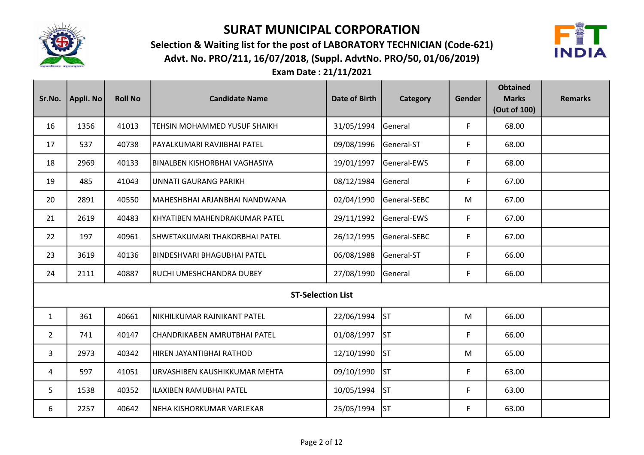

Advt. No. PRO/211, 16/07/2018, (Suppl. AdvtNo. PRO/50, 01/06/2019) Selection & Waiting list for the post of LABORATORY TECHNICIAN (Code-621)



| Sr.No.         | Appli. No | <b>Roll No</b> | <b>Candidate Name</b>          | Date of Birth | Category     | Gender | <b>Obtained</b><br><b>Marks</b><br>(Out of 100) | <b>Remarks</b> |
|----------------|-----------|----------------|--------------------------------|---------------|--------------|--------|-------------------------------------------------|----------------|
| 16             | 1356      | 41013          | TEHSIN MOHAMMED YUSUF SHAIKH   | 31/05/1994    | General      | F      | 68.00                                           |                |
| 17             | 537       | 40738          | PAYALKUMARI RAVJIBHAI PATEL    | 09/08/1996    | General-ST   | F      | 68.00                                           |                |
| 18             | 2969      | 40133          | İBINALBEN KISHORBHAI VAGHASIYA | 19/01/1997    | General-EWS  | F      | 68.00                                           |                |
| 19             | 485       | 41043          | UNNATI GAURANG PARIKH          | 08/12/1984    | lGeneral     | F      | 67.00                                           |                |
| 20             | 2891      | 40550          | MAHESHBHAI ARJANBHAI NANDWANA  | 02/04/1990    | General-SEBC | M      | 67.00                                           |                |
| 21             | 2619      | 40483          | KHYATIBEN MAHENDRAKUMAR PATEL  | 29/11/1992    | General-EWS  | F      | 67.00                                           |                |
| 22             | 197       | 40961          | SHWETAKUMARI THAKORBHAI PATEL  | 26/12/1995    | General-SEBC | F      | 67.00                                           |                |
| 23             | 3619      | 40136          | BINDESHVARI BHAGUBHAI PATEL    | 06/08/1988    | General-ST   | F      | 66.00                                           |                |
| 24             | 2111      | 40887          | RUCHI UMESHCHANDRA DUBEY       | 27/08/1990    | General      | F      | 66.00                                           |                |
|                |           |                | <b>ST-Selection List</b>       |               |              |        |                                                 |                |
| $\mathbf{1}$   | 361       | 40661          | NIKHILKUMAR RAJNIKANT PATEL    | 22/06/1994    | lst          | M      | 66.00                                           |                |
| $\overline{2}$ | 741       | 40147          | CHANDRIKABEN AMRUTBHAI PATEL   | 01/08/1997    | <b>ST</b>    | F      | 66.00                                           |                |
| 3              | 2973      | 40342          | HIREN JAYANTIBHAI RATHOD       | 12/10/1990    | <b>ST</b>    | M      | 65.00                                           |                |
| 4              | 597       | 41051          | URVASHIBEN KAUSHIKKUMAR MEHTA  | 09/10/1990    | ST           | F      | 63.00                                           |                |
| 5              | 1538      | 40352          | ILAXIBEN RAMUBHAI PATEL        | 10/05/1994    | ST           | F      | 63.00                                           |                |
| 6              | 2257      | 40642          | NEHA KISHORKUMAR VARLEKAR      | 25/05/1994    | <b>ST</b>    | F      | 63.00                                           |                |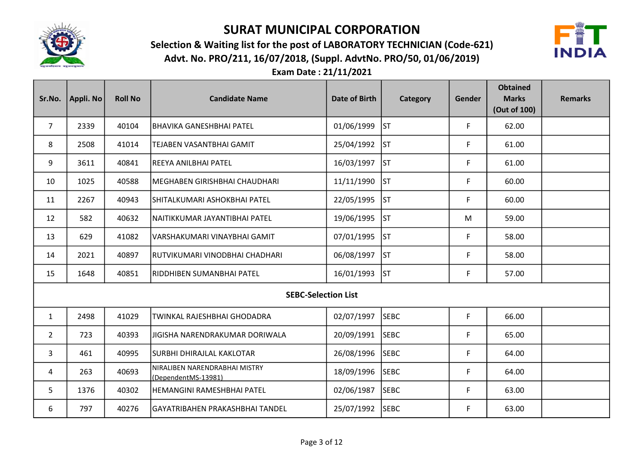

Advt. No. PRO/211, 16/07/2018, (Suppl. AdvtNo. PRO/50, 01/06/2019) Selection & Waiting list for the post of LABORATORY TECHNICIAN (Code-621)



| Sr.No.         | Appli. No | <b>Roll No</b> | <b>Candidate Name</b>                                | Date of Birth | Category    | Gender | <b>Obtained</b><br><b>Marks</b><br>(Out of 100) | <b>Remarks</b> |
|----------------|-----------|----------------|------------------------------------------------------|---------------|-------------|--------|-------------------------------------------------|----------------|
| $\overline{7}$ | 2339      | 40104          | <b>BHAVIKA GANESHBHAI PATEL</b>                      | 01/06/1999    | <b>ST</b>   | F      | 62.00                                           |                |
| 8              | 2508      | 41014          | <b>TEJABEN VASANTBHAI GAMIT</b>                      | 25/04/1992    | lst         | F      | 61.00                                           |                |
| 9              | 3611      | 40841          | REEYA ANILBHAI PATEL                                 | 16/03/1997    | lst         | F      | 61.00                                           |                |
| 10             | 1025      | 40588          | MEGHABEN GIRISHBHAI CHAUDHARI                        | 11/11/1990    | lst         | F      | 60.00                                           |                |
| 11             | 2267      | 40943          | SHITALKUMARI ASHOKBHAI PATEL                         | 22/05/1995    | <b>ST</b>   | F      | 60.00                                           |                |
| 12             | 582       | 40632          | NAITIKKUMAR JAYANTIBHAI PATEL                        | 19/06/1995    | <b>ST</b>   | M      | 59.00                                           |                |
| 13             | 629       | 41082          | VARSHAKUMARI VINAYBHAI GAMIT                         | 07/01/1995    | lst         | F      | 58.00                                           |                |
| 14             | 2021      | 40897          | İRUTVIKUMARI VINODBHAI CHADHARI                      | 06/08/1997    | lst         | F      | 58.00                                           |                |
| 15             | 1648      | 40851          | İRIDDHIBEN SUMANBHAI PATEL                           | 16/01/1993    | lst         | F      | 57.00                                           |                |
|                |           |                | <b>SEBC-Selection List</b>                           |               |             |        |                                                 |                |
| $\mathbf{1}$   | 2498      | 41029          | TWINKAL RAJESHBHAI GHODADRA                          | 02/07/1997    | <b>SEBC</b> | F      | 66.00                                           |                |
| $\overline{2}$ | 723       | 40393          | JIGISHA NARENDRAKUMAR DORIWALA                       | 20/09/1991    | <b>SEBC</b> | F      | 65.00                                           |                |
| 3              | 461       | 40995          | SURBHI DHIRAJLAL KAKLOTAR                            | 26/08/1996    | <b>SEBC</b> | F      | 64.00                                           |                |
| 4              | 263       | 40693          | NIRALIBEN NARENDRABHAI MISTRY<br>(DependentMS-13981) | 18/09/1996    | <b>SEBC</b> | F      | 64.00                                           |                |
| 5              | 1376      | 40302          | HEMANGINI RAMESHBHAI PATEL                           | 02/06/1987    | <b>SEBC</b> | F      | 63.00                                           |                |
| 6              | 797       | 40276          | GAYATRIBAHEN PRAKASHBHAI TANDEL                      | 25/07/1992    | <b>SEBC</b> | F      | 63.00                                           |                |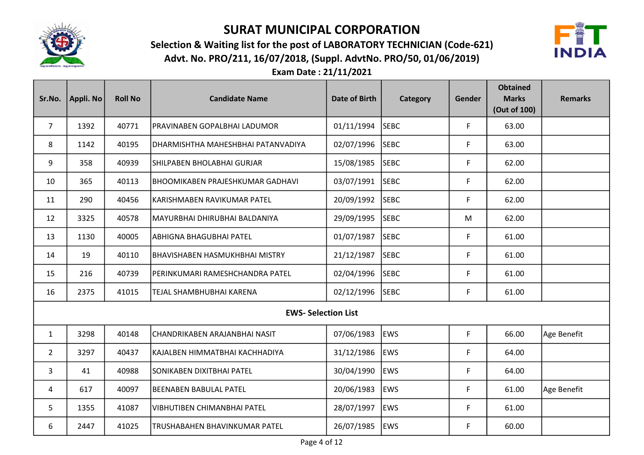

Advt. No. PRO/211, 16/07/2018, (Suppl. AdvtNo. PRO/50, 01/06/2019) Selection & Waiting list for the post of LABORATORY TECHNICIAN (Code-621)



| Sr.No.         | Appli. No | <b>Roll No</b> | <b>Candidate Name</b>              | <b>Date of Birth</b> | Category    | Gender      | <b>Obtained</b><br><b>Marks</b><br>(Out of 100) | <b>Remarks</b> |
|----------------|-----------|----------------|------------------------------------|----------------------|-------------|-------------|-------------------------------------------------|----------------|
| $\overline{7}$ | 1392      | 40771          | PRAVINABEN GOPALBHAI LADUMOR       | 01/11/1994           | <b>SEBC</b> | $\mathsf F$ | 63.00                                           |                |
| 8              | 1142      | 40195          | DHARMISHTHA MAHESHBHAI PATANVADIYA | 02/07/1996           | <b>SEBC</b> | F           | 63.00                                           |                |
| 9              | 358       | 40939          | SHILPABEN BHOLABHAI GURJAR         | 15/08/1985           | <b>SEBC</b> | F           | 62.00                                           |                |
| 10             | 365       | 40113          | BHOOMIKABEN PRAJESHKUMAR GADHAVI   | 03/07/1991           | <b>SEBC</b> | F           | 62.00                                           |                |
| 11             | 290       | 40456          | KARISHMABEN RAVIKUMAR PATEL        | 20/09/1992           | <b>SEBC</b> | F           | 62.00                                           |                |
| 12             | 3325      | 40578          | MAYURBHAI DHIRUBHAI BALDANIYA      | 29/09/1995           | <b>SEBC</b> | M           | 62.00                                           |                |
| 13             | 1130      | 40005          | <b>ABHIGNA BHAGUBHAI PATEL</b>     | 01/07/1987           | <b>SEBC</b> | $\mathsf F$ | 61.00                                           |                |
| 14             | 19        | 40110          | BHAVISHABEN HASMUKHBHAI MISTRY     | 21/12/1987           | <b>SEBC</b> | F           | 61.00                                           |                |
| 15             | 216       | 40739          | PERINKUMARI RAMESHCHANDRA PATEL    | 02/04/1996           | <b>SEBC</b> | F           | 61.00                                           |                |
| 16             | 2375      | 41015          | TEJAL SHAMBHUBHAI KARENA           | 02/12/1996           | <b>SEBC</b> | F           | 61.00                                           |                |
|                |           |                | <b>EWS- Selection List</b>         |                      |             |             |                                                 |                |
| $\mathbf{1}$   | 3298      | 40148          | CHANDRIKABEN ARAJANBHAI NASIT      | 07/06/1983           | <b>EWS</b>  | F           | 66.00                                           | Age Benefit    |
| $\overline{2}$ | 3297      | 40437          | KAJALBEN HIMMATBHAI KACHHADIYA     | 31/12/1986           | <b>EWS</b>  | F           | 64.00                                           |                |
| 3              | 41        | 40988          | SONIKABEN DIXITBHAI PATEL          | 30/04/1990           | <b>EWS</b>  | F           | 64.00                                           |                |
| 4              | 617       | 40097          | BEENABEN BABULAL PATEL             | 20/06/1983           | <b>EWS</b>  | F           | 61.00                                           | Age Benefit    |
| 5              | 1355      | 41087          | VIBHUTIBEN CHIMANBHAI PATEL        | 28/07/1997           | <b>EWS</b>  | F           | 61.00                                           |                |
| 6              | 2447      | 41025          | TRUSHABAHEN BHAVINKUMAR PATEL      | 26/07/1985           | <b>EWS</b>  | F           | 60.00                                           |                |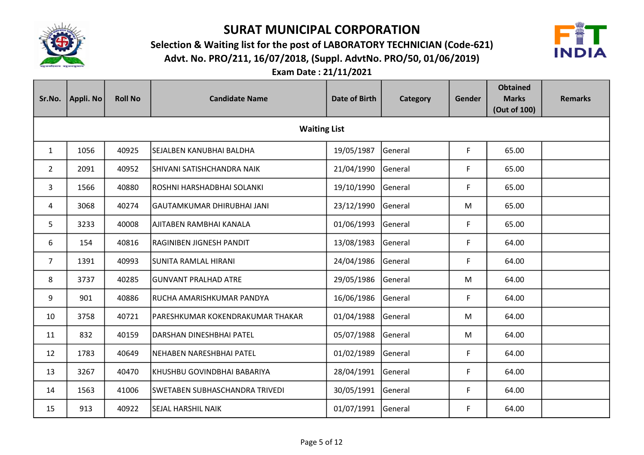

Advt. No. PRO/211, 16/07/2018, (Suppl. AdvtNo. PRO/50, 01/06/2019) Selection & Waiting list for the post of LABORATORY TECHNICIAN (Code-621)



| Sr.No.         | Appli. No           | <b>Roll No</b> | <b>Candidate Name</b>            | <b>Date of Birth</b> | Category       | Gender | <b>Obtained</b><br><b>Marks</b><br>(Out of 100) | <b>Remarks</b> |  |  |
|----------------|---------------------|----------------|----------------------------------|----------------------|----------------|--------|-------------------------------------------------|----------------|--|--|
|                | <b>Waiting List</b> |                |                                  |                      |                |        |                                                 |                |  |  |
| $\mathbf{1}$   | 1056                | 40925          | SEJALBEN KANUBHAI BALDHA         | 19/05/1987           | General        | F      | 65.00                                           |                |  |  |
| $\overline{2}$ | 2091                | 40952          | SHIVANI SATISHCHANDRA NAIK       | 21/04/1990           | General        | F      | 65.00                                           |                |  |  |
| 3              | 1566                | 40880          | ROSHNI HARSHADBHAI SOLANKI       | 19/10/1990           | General        | F      | 65.00                                           |                |  |  |
| 4              | 3068                | 40274          | GAUTAMKUMAR DHIRUBHAI JANI       | 23/12/1990           | General        | M      | 65.00                                           |                |  |  |
| 5              | 3233                | 40008          | AJITABEN RAMBHAI KANALA          | 01/06/1993           | General        | F      | 65.00                                           |                |  |  |
| 6              | 154                 | 40816          | RAGINIBEN JIGNESH PANDIT         | 13/08/1983           | General        | F      | 64.00                                           |                |  |  |
| $\overline{7}$ | 1391                | 40993          | İSUNITA RAMLAL HIRANI            | 24/04/1986           | General        | F      | 64.00                                           |                |  |  |
| 8              | 3737                | 40285          | lGUNVANT PRALHAD ATRE            | 29/05/1986           | General        | M      | 64.00                                           |                |  |  |
| 9              | 901                 | 40886          | RUCHA AMARISHKUMAR PANDYA        | 16/06/1986           | General        | F      | 64.00                                           |                |  |  |
| 10             | 3758                | 40721          | PARESHKUMAR KOKENDRAKUMAR THAKAR | 01/04/1988           | General        | M      | 64.00                                           |                |  |  |
| 11             | 832                 | 40159          | DARSHAN DINESHBHAI PATEL         | 05/07/1988           | General        | M      | 64.00                                           |                |  |  |
| 12             | 1783                | 40649          | NEHABEN NARESHBHAI PATEL         | 01/02/1989           | General        | F      | 64.00                                           |                |  |  |
| 13             | 3267                | 40470          | KHUSHBU GOVINDBHAI BABARIYA      | 28/04/1991           | General        | F      | 64.00                                           |                |  |  |
| 14             | 1563                | 41006          | ISWETABEN SUBHASCHANDRA TRIVEDI  | 30/05/1991           | General        | F      | 64.00                                           |                |  |  |
| 15             | 913                 | 40922          | <b>SEJAL HARSHIL NAIK</b>        | 01/07/1991           | <b>General</b> | F      | 64.00                                           |                |  |  |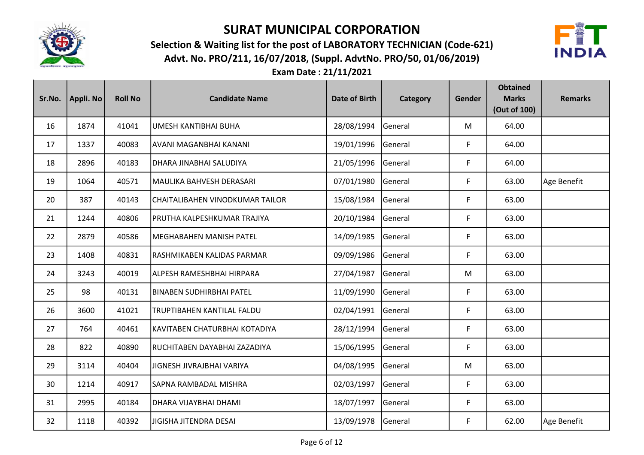

Advt. No. PRO/211, 16/07/2018, (Suppl. AdvtNo. PRO/50, 01/06/2019) Selection & Waiting list for the post of LABORATORY TECHNICIAN (Code-621)



| Sr.No. | Appli. No | <b>Roll No</b> | <b>Candidate Name</b>           | <b>Date of Birth</b> | Category | Gender | <b>Obtained</b><br><b>Marks</b><br>(Out of 100) | <b>Remarks</b> |
|--------|-----------|----------------|---------------------------------|----------------------|----------|--------|-------------------------------------------------|----------------|
| 16     | 1874      | 41041          | UMESH KANTIBHAI BUHA            | 28/08/1994           | General  | M      | 64.00                                           |                |
| 17     | 1337      | 40083          | AVANI MAGANBHAI KANANI          | 19/01/1996           | General  | F      | 64.00                                           |                |
| 18     | 2896      | 40183          | DHARA JINABHAI SALUDIYA         | 21/05/1996           | General  | F      | 64.00                                           |                |
| 19     | 1064      | 40571          | MAULIKA BAHVESH DERASARI        | 07/01/1980           | General  | F      | 63.00                                           | Age Benefit    |
| 20     | 387       | 40143          | CHAITALIBAHEN VINODKUMAR TAILOR | 15/08/1984           | General  | F      | 63.00                                           |                |
| 21     | 1244      | 40806          | PRUTHA KALPESHKUMAR TRAJIYA     | 20/10/1984           | General  | F      | 63.00                                           |                |
| 22     | 2879      | 40586          | <b>MEGHABAHEN MANISH PATEL</b>  | 14/09/1985           | General  | F      | 63.00                                           |                |
| 23     | 1408      | 40831          | RASHMIKABEN KALIDAS PARMAR      | 09/09/1986           | General  | F      | 63.00                                           |                |
| 24     | 3243      | 40019          | ALPESH RAMESHBHAI HIRPARA       | 27/04/1987           | General  | M      | 63.00                                           |                |
| 25     | 98        | 40131          | <b>BINABEN SUDHIRBHAI PATEL</b> | 11/09/1990           | General  | F      | 63.00                                           |                |
| 26     | 3600      | 41021          | TRUPTIBAHEN KANTILAL FALDU      | 02/04/1991           | General  | F      | 63.00                                           |                |
| 27     | 764       | 40461          | KAVITABEN CHATURBHAI KOTADIYA   | 28/12/1994           | General  | F      | 63.00                                           |                |
| 28     | 822       | 40890          | RUCHITABEN DAYABHAI ZAZADIYA    | 15/06/1995           | General  | F      | 63.00                                           |                |
| 29     | 3114      | 40404          | JIGNESH JIVRAJBHAI VARIYA       | 04/08/1995           | General  | M      | 63.00                                           |                |
| 30     | 1214      | 40917          | SAPNA RAMBADAL MISHRA           | 02/03/1997           | General  | F      | 63.00                                           |                |
| 31     | 2995      | 40184          | DHARA VIJAYBHAI DHAMI           | 18/07/1997           | General  | F      | 63.00                                           |                |
| 32     | 1118      | 40392          | <b>JIGISHA JITENDRA DESAI</b>   | 13/09/1978           | General  | F      | 62.00                                           | Age Benefit    |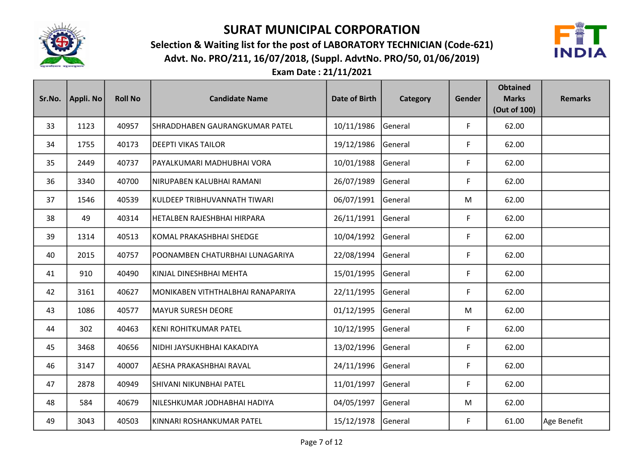

Advt. No. PRO/211, 16/07/2018, (Suppl. AdvtNo. PRO/50, 01/06/2019) Selection & Waiting list for the post of LABORATORY TECHNICIAN (Code-621)



| Sr.No. | Appli. No | <b>Roll No</b> | <b>Candidate Name</b>               | <b>Date of Birth</b> | Category       | Gender | <b>Obtained</b><br><b>Marks</b><br>(Out of 100) | <b>Remarks</b> |
|--------|-----------|----------------|-------------------------------------|----------------------|----------------|--------|-------------------------------------------------|----------------|
| 33     | 1123      | 40957          | SHRADDHABEN GAURANGKUMAR PATEL      | 10/11/1986           | <b>General</b> | F      | 62.00                                           |                |
| 34     | 1755      | 40173          | <b>DEEPTI VIKAS TAILOR</b>          | 19/12/1986           | General        | F      | 62.00                                           |                |
| 35     | 2449      | 40737          | PAYALKUMARI MADHUBHAI VORA          | 10/01/1988           | General        | F      | 62.00                                           |                |
| 36     | 3340      | 40700          | NIRUPABEN KALUBHAI RAMANI           | 26/07/1989           | General        | F      | 62.00                                           |                |
| 37     | 1546      | 40539          | KULDEEP TRIBHUVANNATH TIWARI        | 06/07/1991           | General        | M      | 62.00                                           |                |
| 38     | 49        | 40314          | HETALBEN RAJESHBHAI HIRPARA         | 26/11/1991           | General        | F      | 62.00                                           |                |
| 39     | 1314      | 40513          | KOMAL PRAKASHBHAI SHEDGE            | 10/04/1992           | General        | F      | 62.00                                           |                |
| 40     | 2015      | 40757          | POONAMBEN CHATURBHAI LUNAGARIYA     | 22/08/1994           | General        | F      | 62.00                                           |                |
| 41     | 910       | 40490          | KINJAL DINESHBHAI MEHTA             | 15/01/1995           | General        | F      | 62.00                                           |                |
| 42     | 3161      | 40627          | MONIKABEN VITHTHALBHAI RANAPARIYA   | 22/11/1995           | General        | F      | 62.00                                           |                |
| 43     | 1086      | 40577          | <b>MAYUR SURESH DEORE</b>           | 01/12/1995           | General        | M      | 62.00                                           |                |
| 44     | 302       | 40463          | KENI ROHITKUMAR PATEL               | 10/12/1995           | General        | F      | 62.00                                           |                |
| 45     | 3468      | 40656          | NIDHI JAYSUKHBHAI KAKADIYA          | 13/02/1996           | General        | F      | 62.00                                           |                |
| 46     | 3147      | 40007          | AESHA PRAKASHBHAI RAVAL             | 24/11/1996           | General        | F      | 62.00                                           |                |
| 47     | 2878      | 40949          | SHIVANI NIKUNBHAI PATEL             | 11/01/1997           | General        | F      | 62.00                                           |                |
| 48     | 584       | 40679          | <b>NILESHKUMAR JODHABHAI HADIYA</b> | 04/05/1997           | General        | M      | 62.00                                           |                |
| 49     | 3043      | 40503          | KINNARI ROSHANKUMAR PATEL           | 15/12/1978           | General        | F      | 61.00                                           | Age Benefit    |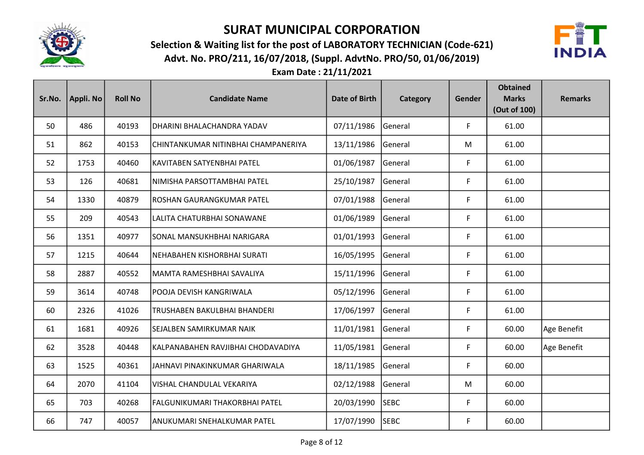

Advt. No. PRO/211, 16/07/2018, (Suppl. AdvtNo. PRO/50, 01/06/2019) Selection & Waiting list for the post of LABORATORY TECHNICIAN (Code-621)



| Sr.No. | Appli. No | <b>Roll No</b> | <b>Candidate Name</b>               | <b>Date of Birth</b> | Category       | Gender | <b>Obtained</b><br><b>Marks</b><br>(Out of 100) | <b>Remarks</b> |
|--------|-----------|----------------|-------------------------------------|----------------------|----------------|--------|-------------------------------------------------|----------------|
| 50     | 486       | 40193          | DHARINI BHALACHANDRA YADAV          | 07/11/1986           | General        | F      | 61.00                                           |                |
| 51     | 862       | 40153          | CHINTANKUMAR NITINBHAI CHAMPANERIYA | 13/11/1986           | General        | M      | 61.00                                           |                |
| 52     | 1753      | 40460          | KAVITABEN SATYENBHAI PATEL          | 01/06/1987           | General        | F      | 61.00                                           |                |
| 53     | 126       | 40681          | NIMISHA PARSOTTAMBHAI PATEL         | 25/10/1987           | General        | F      | 61.00                                           |                |
| 54     | 1330      | 40879          | ROSHAN GAURANGKUMAR PATEL           | 07/01/1988           | General        | F      | 61.00                                           |                |
| 55     | 209       | 40543          | LALITA CHATURBHAI SONAWANE          | 01/06/1989           | General        | F      | 61.00                                           |                |
| 56     | 1351      | 40977          | SONAL MANSUKHBHAI NARIGARA          | 01/01/1993           | General        | F      | 61.00                                           |                |
| 57     | 1215      | 40644          | NEHABAHEN KISHORBHAI SURATI         | 16/05/1995           | General        | F      | 61.00                                           |                |
| 58     | 2887      | 40552          | MAMTA RAMESHBHAI SAVALIYA           | 15/11/1996           | General        | F      | 61.00                                           |                |
| 59     | 3614      | 40748          | POOJA DEVISH KANGRIWALA             | 05/12/1996           | General        | F      | 61.00                                           |                |
| 60     | 2326      | 41026          | TRUSHABEN BAKULBHAI BHANDERI        | 17/06/1997           | <b>General</b> | F      | 61.00                                           |                |
| 61     | 1681      | 40926          | SEJALBEN SAMIRKUMAR NAIK            | 11/01/1981           | General        | F      | 60.00                                           | Age Benefit    |
| 62     | 3528      | 40448          | KALPANABAHEN RAVJIBHAI CHODAVADIYA  | 11/05/1981           | General        | F      | 60.00                                           | Age Benefit    |
| 63     | 1525      | 40361          | JAHNAVI PINAKINKUMAR GHARIWALA      | 18/11/1985           | General        | F      | 60.00                                           |                |
| 64     | 2070      | 41104          | VISHAL CHANDULAL VEKARIYA           | 02/12/1988           | <b>General</b> | M      | 60.00                                           |                |
| 65     | 703       | 40268          | FALGUNIKUMARI THAKORBHAI PATEL      | 20/03/1990           | <b>SEBC</b>    | F      | 60.00                                           |                |
| 66     | 747       | 40057          | JANUKUMARI SNEHALKUMAR PATEL        | 17/07/1990           | <b>SEBC</b>    | F      | 60.00                                           |                |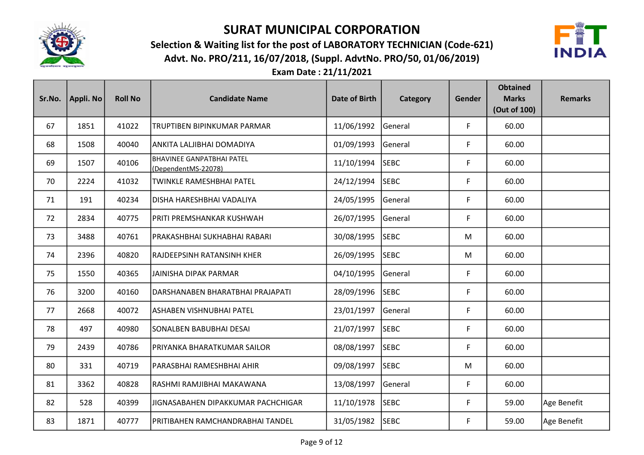

Advt. No. PRO/211, 16/07/2018, (Suppl. AdvtNo. PRO/50, 01/06/2019) Selection & Waiting list for the post of LABORATORY TECHNICIAN (Code-621)



| Sr.No. | Appli. No | <b>Roll No</b> | <b>Candidate Name</b>                                   | <b>Date of Birth</b> | Category       | Gender | <b>Obtained</b><br><b>Marks</b><br>(Out of 100) | <b>Remarks</b> |
|--------|-----------|----------------|---------------------------------------------------------|----------------------|----------------|--------|-------------------------------------------------|----------------|
| 67     | 1851      | 41022          | TRUPTIBEN BIPINKUMAR PARMAR                             | 11/06/1992           | General        | F      | 60.00                                           |                |
| 68     | 1508      | 40040          | ANKITA LALJIBHAI DOMADIYA                               | 01/09/1993           | General        | F      | 60.00                                           |                |
| 69     | 1507      | 40106          | <b>BHAVINEE GANPATBHAI PATEL</b><br>(DependentMS-22078) | 11/10/1994           | <b>SEBC</b>    | F      | 60.00                                           |                |
| 70     | 2224      | 41032          | TWINKLE RAMESHBHAI PATEL                                | 24/12/1994           | <b>SEBC</b>    | F      | 60.00                                           |                |
| 71     | 191       | 40234          | DISHA HARESHBHAI VADALIYA                               | 24/05/1995           | General        | F      | 60.00                                           |                |
| 72     | 2834      | 40775          | PRITI PREMSHANKAR KUSHWAH                               | 26/07/1995           | General        | F      | 60.00                                           |                |
| 73     | 3488      | 40761          | PRAKASHBHAI SUKHABHAI RABARI                            | 30/08/1995           | <b>SEBC</b>    | M      | 60.00                                           |                |
| 74     | 2396      | 40820          | RAJDEEPSINH RATANSINH KHER                              | 26/09/1995           | <b>SEBC</b>    | M      | 60.00                                           |                |
| 75     | 1550      | 40365          | <b>JAINISHA DIPAK PARMAR</b>                            | 04/10/1995           | General        | F      | 60.00                                           |                |
| 76     | 3200      | 40160          | DARSHANABEN BHARATBHAI PRAJAPATI                        | 28/09/1996           | <b>SEBC</b>    | F      | 60.00                                           |                |
| 77     | 2668      | 40072          | ASHABEN VISHNUBHAI PATEL                                | 23/01/1997           | <b>General</b> | F      | 60.00                                           |                |
| 78     | 497       | 40980          | SONALBEN BABUBHAI DESAI                                 | 21/07/1997           | <b>SEBC</b>    | F      | 60.00                                           |                |
| 79     | 2439      | 40786          | PRIYANKA BHARATKUMAR SAILOR                             | 08/08/1997           | <b>SEBC</b>    | F      | 60.00                                           |                |
| 80     | 331       | 40719          | PARASBHAI RAMESHBHAI AHIR                               | 09/08/1997           | <b>SEBC</b>    | M      | 60.00                                           |                |
| 81     | 3362      | 40828          | RASHMI RAMJIBHAI MAKAWANA                               | 13/08/1997           | <b>General</b> | F      | 60.00                                           |                |
| 82     | 528       | 40399          | JIGNASABAHEN DIPAKKUMAR PACHCHIGAR                      | 11/10/1978           | <b>SEBC</b>    | F      | 59.00                                           | Age Benefit    |
| 83     | 1871      | 40777          | PRITIBAHEN RAMCHANDRABHAI TANDEL                        | 31/05/1982           | <b>SEBC</b>    | F      | 59.00                                           | Age Benefit    |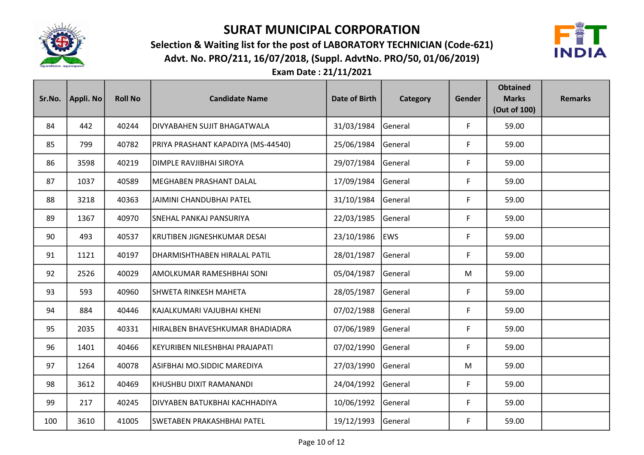

Advt. No. PRO/211, 16/07/2018, (Suppl. AdvtNo. PRO/50, 01/06/2019) Selection & Waiting list for the post of LABORATORY TECHNICIAN (Code-621)



| Sr.No. | Appli. No | <b>Roll No</b> | <b>Candidate Name</b>              | <b>Date of Birth</b> | Category       | Gender | <b>Obtained</b><br><b>Marks</b><br>(Out of 100) | <b>Remarks</b> |
|--------|-----------|----------------|------------------------------------|----------------------|----------------|--------|-------------------------------------------------|----------------|
| 84     | 442       | 40244          | <b>DIVYABAHEN SUJIT BHAGATWALA</b> | 31/03/1984           | General        | F      | 59.00                                           |                |
| 85     | 799       | 40782          | PRIYA PRASHANT KAPADIYA (MS-44540) | 25/06/1984           | General        | F      | 59.00                                           |                |
| 86     | 3598      | 40219          | DIMPLE RAVJIBHAI SIROYA            | 29/07/1984           | <b>General</b> | F      | 59.00                                           |                |
| 87     | 1037      | 40589          | MEGHABEN PRASHANT DALAL            | 17/09/1984           | General        | F      | 59.00                                           |                |
| 88     | 3218      | 40363          | JAIMINI CHANDUBHAI PATEL           | 31/10/1984           | General        | F      | 59.00                                           |                |
| 89     | 1367      | 40970          | SNEHAL PANKAJ PANSURIYA            | 22/03/1985           | General        | F      | 59.00                                           |                |
| 90     | 493       | 40537          | KRUTIBEN JIGNESHKUMAR DESAI        | 23/10/1986           | <b>EWS</b>     | F      | 59.00                                           |                |
| 91     | 1121      | 40197          | DHARMISHTHABEN HIRALAL PATIL       | 28/01/1987           | General        | F      | 59.00                                           |                |
| 92     | 2526      | 40029          | AMOLKUMAR RAMESHBHAI SONI          | 05/04/1987           | General        | M      | 59.00                                           |                |
| 93     | 593       | 40960          | SHWETA RINKESH MAHETA              | 28/05/1987           | General        | F      | 59.00                                           |                |
| 94     | 884       | 40446          | KAJALKUMARI VAJUBHAI KHENI         | 07/02/1988           | General        | F      | 59.00                                           |                |
| 95     | 2035      | 40331          | HIRALBEN BHAVESHKUMAR BHADIADRA    | 07/06/1989           | General        | F      | 59.00                                           |                |
| 96     | 1401      | 40466          | KEYURIBEN NILESHBHAI PRAJAPATI     | 07/02/1990           | General        | F      | 59.00                                           |                |
| 97     | 1264      | 40078          | ASIFBHAI MO.SIDDIC MAREDIYA        | 27/03/1990           | General        | M      | 59.00                                           |                |
| 98     | 3612      | 40469          | KHUSHBU DIXIT RAMANANDI            | 24/04/1992           | General        | F      | 59.00                                           |                |
| 99     | 217       | 40245          | DIVYABEN BATUKBHAI KACHHADIYA      | 10/06/1992           | General        | F      | 59.00                                           |                |
| 100    | 3610      | 41005          | SWETABEN PRAKASHBHAI PATEL         | 19/12/1993           | General        | F      | 59.00                                           |                |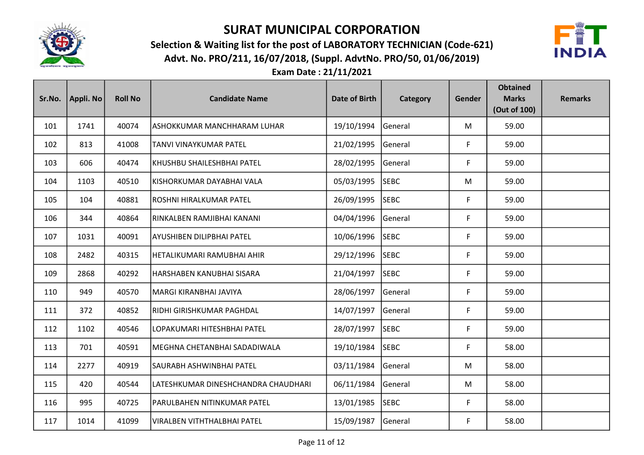

Advt. No. PRO/211, 16/07/2018, (Suppl. AdvtNo. PRO/50, 01/06/2019) Selection & Waiting list for the post of LABORATORY TECHNICIAN (Code-621)



| Sr.No. | Appli. No | <b>Roll No</b> | <b>Candidate Name</b>               | <b>Date of Birth</b> | Category    | Gender | <b>Obtained</b><br><b>Marks</b><br>(Out of 100) | <b>Remarks</b> |
|--------|-----------|----------------|-------------------------------------|----------------------|-------------|--------|-------------------------------------------------|----------------|
| 101    | 1741      | 40074          | ASHOKKUMAR MANCHHARAM LUHAR         | 19/10/1994           | General     | M      | 59.00                                           |                |
| 102    | 813       | 41008          | TANVI VINAYKUMAR PATEL              | 21/02/1995           | General     | F      | 59.00                                           |                |
| 103    | 606       | 40474          | KHUSHBU SHAILESHBHAI PATEL          | 28/02/1995           | General     | F      | 59.00                                           |                |
| 104    | 1103      | 40510          | KISHORKUMAR DAYABHAI VALA           | 05/03/1995           | <b>SEBC</b> | M      | 59.00                                           |                |
| 105    | 104       | 40881          | ROSHNI HIRALKUMAR PATEL             | 26/09/1995           | <b>SEBC</b> | F      | 59.00                                           |                |
| 106    | 344       | 40864          | RINKALBEN RAMJIBHAI KANANI          | 04/04/1996           | General     | F      | 59.00                                           |                |
| 107    | 1031      | 40091          | AYUSHIBEN DILIPBHAI PATEL           | 10/06/1996           | <b>SEBC</b> | F      | 59.00                                           |                |
| 108    | 2482      | 40315          | HETALIKUMARI RAMUBHAI AHIR          | 29/12/1996           | <b>SEBC</b> | F      | 59.00                                           |                |
| 109    | 2868      | 40292          | HARSHABEN KANUBHAI SISARA           | 21/04/1997           | <b>SEBC</b> | F      | 59.00                                           |                |
| 110    | 949       | 40570          | MARGI KIRANBHAI JAVIYA              | 28/06/1997           | General     | F      | 59.00                                           |                |
| 111    | 372       | 40852          | RIDHI GIRISHKUMAR PAGHDAL           | 14/07/1997           | General     | F      | 59.00                                           |                |
| 112    | 1102      | 40546          | LOPAKUMARI HITESHBHAI PATEL         | 28/07/1997           | <b>SEBC</b> | F      | 59.00                                           |                |
| 113    | 701       | 40591          | MEGHNA CHETANBHAI SADADIWALA        | 19/10/1984           | <b>SEBC</b> | F      | 58.00                                           |                |
| 114    | 2277      | 40919          | SAURABH ASHWINBHAI PATEL            | 03/11/1984           | General     | M      | 58.00                                           |                |
| 115    | 420       | 40544          | LATESHKUMAR DINESHCHANDRA CHAUDHARI | 06/11/1984           | General     | M      | 58.00                                           |                |
| 116    | 995       | 40725          | PARULBAHEN NITINKUMAR PATEL         | 13/01/1985           | <b>SEBC</b> | F      | 58.00                                           |                |
| 117    | 1014      | 41099          | <b>VIRALBEN VITHTHALBHAI PATEL</b>  | 15/09/1987           | General     | F      | 58.00                                           |                |